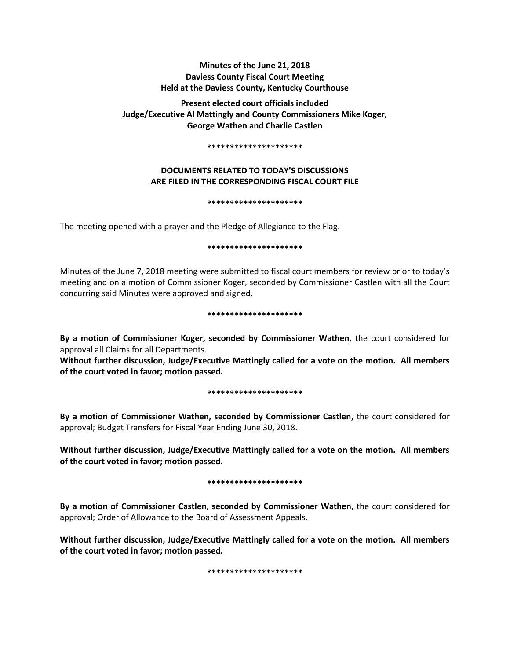# **Minutes of the June 21, 2018 Daviess County Fiscal Court Meeting Held at the Daviess County, Kentucky Courthouse**

**Present elected court officials included Judge/Executive Al Mattingly and County Commissioners Mike Koger, George Wathen and Charlie Castlen** 

#### **\*\*\*\*\*\*\*\*\*\*\*\*\*\*\*\*\*\*\*\*\***

# **DOCUMENTS RELATED TO TODAY'S DISCUSSIONS ARE FILED IN THE CORRESPONDING FISCAL COURT FILE**

### **\*\*\*\*\*\*\*\*\*\*\*\*\*\*\*\*\*\*\*\*\***

The meeting opened with a prayer and the Pledge of Allegiance to the Flag.

### **\*\*\*\*\*\*\*\*\*\*\*\*\*\*\*\*\*\*\*\*\***

Minutes of the June 7, 2018 meeting were submitted to fiscal court members for review prior to today's meeting and on a motion of Commissioner Koger, seconded by Commissioner Castlen with all the Court concurring said Minutes were approved and signed.

### **\*\*\*\*\*\*\*\*\*\*\*\*\*\*\*\*\*\*\*\*\***

**By a motion of Commissioner Koger, seconded by Commissioner Wathen,** the court considered for approval all Claims for all Departments.

**Without further discussion, Judge/Executive Mattingly called for a vote on the motion. All members of the court voted in favor; motion passed.** 

### **\*\*\*\*\*\*\*\*\*\*\*\*\*\*\*\*\*\*\*\*\***

**By a motion of Commissioner Wathen, seconded by Commissioner Castlen,** the court considered for approval; Budget Transfers for Fiscal Year Ending June 30, 2018.

**Without further discussion, Judge/Executive Mattingly called for a vote on the motion. All members of the court voted in favor; motion passed.** 

### **\*\*\*\*\*\*\*\*\*\*\*\*\*\*\*\*\*\*\*\*\***

**By a motion of Commissioner Castlen, seconded by Commissioner Wathen,** the court considered for approval; Order of Allowance to the Board of Assessment Appeals.

**Without further discussion, Judge/Executive Mattingly called for a vote on the motion. All members of the court voted in favor; motion passed.** 

**\*\*\*\*\*\*\*\*\*\*\*\*\*\*\*\*\*\*\*\*\***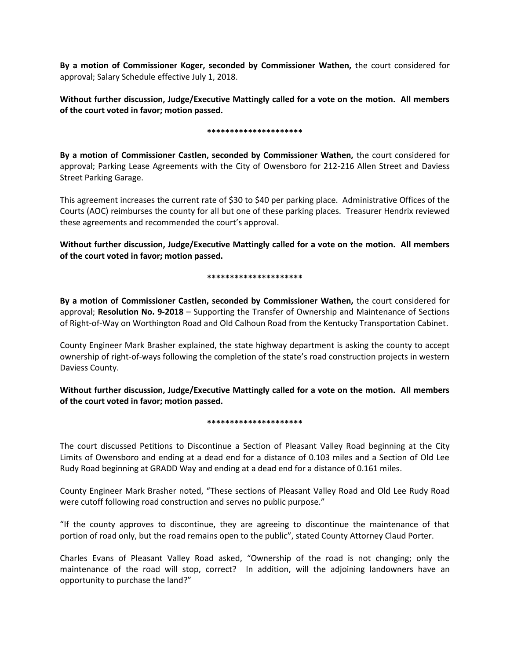**By a motion of Commissioner Koger, seconded by Commissioner Wathen,** the court considered for approval; Salary Schedule effective July 1, 2018.

**Without further discussion, Judge/Executive Mattingly called for a vote on the motion. All members of the court voted in favor; motion passed.** 

## **\*\*\*\*\*\*\*\*\*\*\*\*\*\*\*\*\*\*\*\*\***

**By a motion of Commissioner Castlen, seconded by Commissioner Wathen,** the court considered for approval; Parking Lease Agreements with the City of Owensboro for 212-216 Allen Street and Daviess Street Parking Garage.

This agreement increases the current rate of \$30 to \$40 per parking place. Administrative Offices of the Courts (AOC) reimburses the county for all but one of these parking places. Treasurer Hendrix reviewed these agreements and recommended the court's approval.

**Without further discussion, Judge/Executive Mattingly called for a vote on the motion. All members of the court voted in favor; motion passed.** 

## **\*\*\*\*\*\*\*\*\*\*\*\*\*\*\*\*\*\*\*\*\***

**By a motion of Commissioner Castlen, seconded by Commissioner Wathen,** the court considered for approval; **Resolution No. 9-2018** – Supporting the Transfer of Ownership and Maintenance of Sections of Right-of-Way on Worthington Road and Old Calhoun Road from the Kentucky Transportation Cabinet.

County Engineer Mark Brasher explained, the state highway department is asking the county to accept ownership of right-of-ways following the completion of the state's road construction projects in western Daviess County.

**Without further discussion, Judge/Executive Mattingly called for a vote on the motion. All members of the court voted in favor; motion passed.** 

## **\*\*\*\*\*\*\*\*\*\*\*\*\*\*\*\*\*\*\*\*\***

The court discussed Petitions to Discontinue a Section of Pleasant Valley Road beginning at the City Limits of Owensboro and ending at a dead end for a distance of 0.103 miles and a Section of Old Lee Rudy Road beginning at GRADD Way and ending at a dead end for a distance of 0.161 miles.

County Engineer Mark Brasher noted, "These sections of Pleasant Valley Road and Old Lee Rudy Road were cutoff following road construction and serves no public purpose."

"If the county approves to discontinue, they are agreeing to discontinue the maintenance of that portion of road only, but the road remains open to the public", stated County Attorney Claud Porter.

Charles Evans of Pleasant Valley Road asked, "Ownership of the road is not changing; only the maintenance of the road will stop, correct? In addition, will the adjoining landowners have an opportunity to purchase the land?"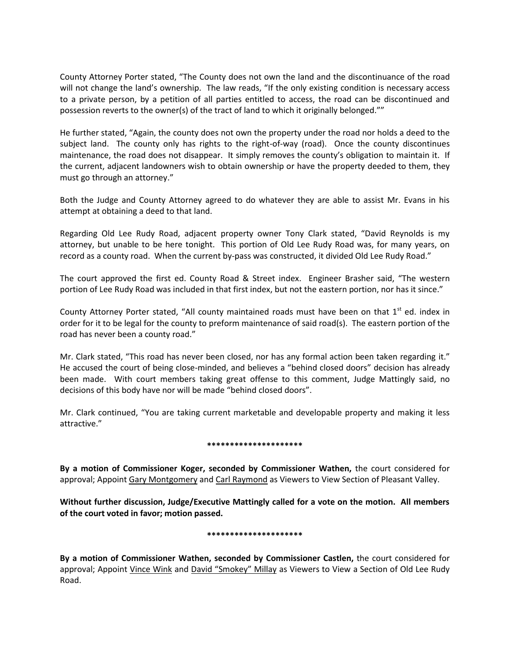County Attorney Porter stated, "The County does not own the land and the discontinuance of the road will not change the land's ownership. The law reads, "If the only existing condition is necessary access to a private person, by a petition of all parties entitled to access, the road can be discontinued and possession reverts to the owner(s) of the tract of land to which it originally belonged.""

He further stated, "Again, the county does not own the property under the road nor holds a deed to the subject land. The county only has rights to the right-of-way (road). Once the county discontinues maintenance, the road does not disappear. It simply removes the county's obligation to maintain it. If the current, adjacent landowners wish to obtain ownership or have the property deeded to them, they must go through an attorney."

Both the Judge and County Attorney agreed to do whatever they are able to assist Mr. Evans in his attempt at obtaining a deed to that land.

Regarding Old Lee Rudy Road, adjacent property owner Tony Clark stated, "David Reynolds is my attorney, but unable to be here tonight. This portion of Old Lee Rudy Road was, for many years, on record as a county road. When the current by-pass was constructed, it divided Old Lee Rudy Road."

The court approved the first ed. County Road & Street index. Engineer Brasher said, "The western portion of Lee Rudy Road was included in that first index, but not the eastern portion, nor has it since."

County Attorney Porter stated, "All county maintained roads must have been on that 1<sup>st</sup> ed. index in order for it to be legal for the county to preform maintenance of said road(s). The eastern portion of the road has never been a county road."

Mr. Clark stated, "This road has never been closed, nor has any formal action been taken regarding it." He accused the court of being close-minded, and believes a "behind closed doors" decision has already been made. With court members taking great offense to this comment, Judge Mattingly said, no decisions of this body have nor will be made "behind closed doors".

Mr. Clark continued, "You are taking current marketable and developable property and making it less attractive."

## **\*\*\*\*\*\*\*\*\*\*\*\*\*\*\*\*\*\*\*\*\***

**By a motion of Commissioner Koger, seconded by Commissioner Wathen,** the court considered for approval; Appoint Gary Montgomery and Carl Raymond as Viewers to View Section of Pleasant Valley.

**Without further discussion, Judge/Executive Mattingly called for a vote on the motion. All members of the court voted in favor; motion passed.** 

### **\*\*\*\*\*\*\*\*\*\*\*\*\*\*\*\*\*\*\*\*\***

**By a motion of Commissioner Wathen, seconded by Commissioner Castlen,** the court considered for approval; Appoint Vince Wink and David "Smokey" Millay as Viewers to View a Section of Old Lee Rudy Road.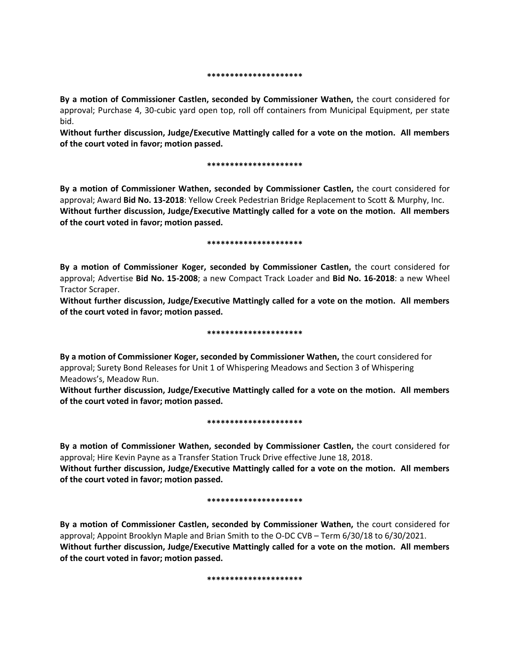#### **\*\*\*\*\*\*\*\*\*\*\*\*\*\*\*\*\*\*\*\*\***

**By a motion of Commissioner Castlen, seconded by Commissioner Wathen,** the court considered for approval; Purchase 4, 30-cubic yard open top, roll off containers from Municipal Equipment, per state bid.

**Without further discussion, Judge/Executive Mattingly called for a vote on the motion. All members of the court voted in favor; motion passed.** 

#### **\*\*\*\*\*\*\*\*\*\*\*\*\*\*\*\*\*\*\*\*\***

**By a motion of Commissioner Wathen, seconded by Commissioner Castlen,** the court considered for approval; Award **Bid No. 13-2018**: Yellow Creek Pedestrian Bridge Replacement to Scott & Murphy, Inc. **Without further discussion, Judge/Executive Mattingly called for a vote on the motion. All members of the court voted in favor; motion passed.** 

#### **\*\*\*\*\*\*\*\*\*\*\*\*\*\*\*\*\*\*\*\*\***

**By a motion of Commissioner Koger, seconded by Commissioner Castlen,** the court considered for approval; Advertise **Bid No. 15-2008**; a new Compact Track Loader and **Bid No. 16-2018**: a new Wheel Tractor Scraper.

**Without further discussion, Judge/Executive Mattingly called for a vote on the motion. All members of the court voted in favor; motion passed.** 

### **\*\*\*\*\*\*\*\*\*\*\*\*\*\*\*\*\*\*\*\*\***

**By a motion of Commissioner Koger, seconded by Commissioner Wathen,** the court considered for approval; Surety Bond Releases for Unit 1 of Whispering Meadows and Section 3 of Whispering Meadows's, Meadow Run.

**Without further discussion, Judge/Executive Mattingly called for a vote on the motion. All members of the court voted in favor; motion passed.** 

### **\*\*\*\*\*\*\*\*\*\*\*\*\*\*\*\*\*\*\*\*\***

**By a motion of Commissioner Wathen, seconded by Commissioner Castlen,** the court considered for approval; Hire Kevin Payne as a Transfer Station Truck Drive effective June 18, 2018.

**Without further discussion, Judge/Executive Mattingly called for a vote on the motion. All members of the court voted in favor; motion passed.** 

### **\*\*\*\*\*\*\*\*\*\*\*\*\*\*\*\*\*\*\*\*\***

**By a motion of Commissioner Castlen, seconded by Commissioner Wathen,** the court considered for approval; Appoint Brooklyn Maple and Brian Smith to the O-DC CVB – Term 6/30/18 to 6/30/2021. **Without further discussion, Judge/Executive Mattingly called for a vote on the motion. All members of the court voted in favor; motion passed.** 

**\*\*\*\*\*\*\*\*\*\*\*\*\*\*\*\*\*\*\*\*\***